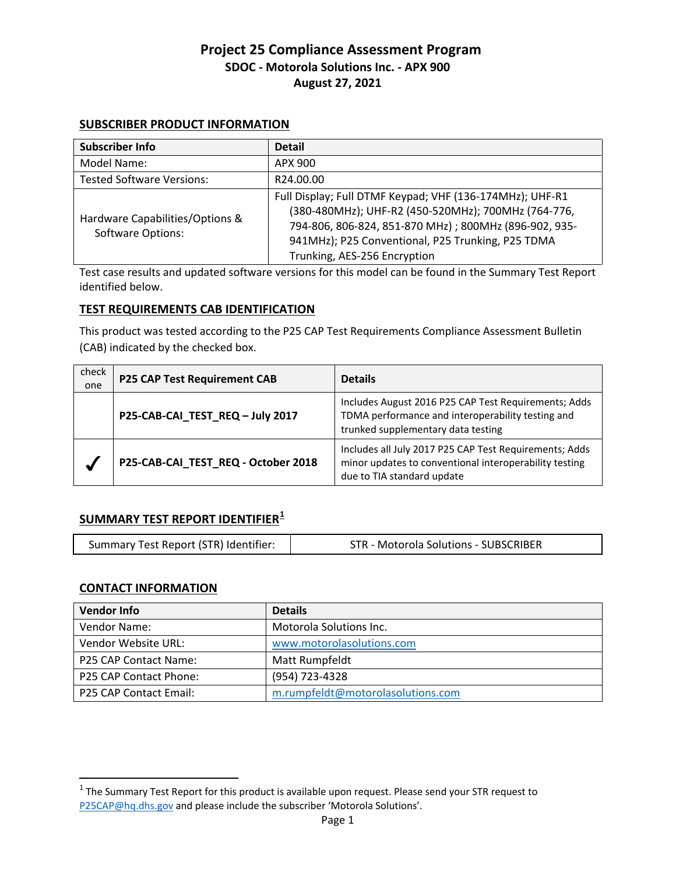#### **SUBSCRIBER PRODUCT INFORMATION**

| <b>Subscriber Info</b>                               | <b>Detail</b>                                                                                                                                                                                                                                                 |
|------------------------------------------------------|---------------------------------------------------------------------------------------------------------------------------------------------------------------------------------------------------------------------------------------------------------------|
| Model Name:                                          | APX 900                                                                                                                                                                                                                                                       |
| <b>Tested Software Versions:</b>                     | R24.00.00                                                                                                                                                                                                                                                     |
| Hardware Capabilities/Options &<br>Software Options: | Full Display; Full DTMF Keypad; VHF (136-174MHz); UHF-R1<br>(380-480MHz); UHF-R2 (450-520MHz); 700MHz (764-776,<br>794-806, 806-824, 851-870 MHz); 800MHz (896-902, 935-<br>941MHz); P25 Conventional, P25 Trunking, P25 TDMA<br>Trunking, AES-256 Encryption |

Test case results and updated software versions for this model can be found in the Summary Test Report identified below.

#### **TEST REQUIREMENTS CAB IDENTIFICATION**

This product was tested according to the P25 CAP Test Requirements Compliance Assessment Bulletin (CAB) indicated by the checked box.

| check<br>one | <b>P25 CAP Test Requirement CAB</b> | <b>Details</b>                                                                                                                                  |
|--------------|-------------------------------------|-------------------------------------------------------------------------------------------------------------------------------------------------|
|              | P25-CAB-CAI_TEST_REQ - July 2017    | Includes August 2016 P25 CAP Test Requirements; Adds<br>TDMA performance and interoperability testing and<br>trunked supplementary data testing |
|              | P25-CAB-CAI_TEST_REQ - October 2018 | Includes all July 2017 P25 CAP Test Requirements; Adds<br>minor updates to conventional interoperability testing<br>due to TIA standard update  |

# **SUMMARY TEST REPORT IDENTIFIER[1](#page-0-0)**

| Summary Test Report (STR) Identifier: | <b>STR - Motorola Solutions - SUBSCRIBER</b> |
|---------------------------------------|----------------------------------------------|
|                                       |                                              |

#### **CONTACT INFORMATION**

| <b>Vendor Info</b>     | <b>Details</b>                    |
|------------------------|-----------------------------------|
| Vendor Name:           | Motorola Solutions Inc.           |
| Vendor Website URL:    | www.motorolasolutions.com         |
| P25 CAP Contact Name:  | Matt Rumpfeldt                    |
| P25 CAP Contact Phone: | (954) 723-4328                    |
| P25 CAP Contact Email: | m.rumpfeldt@motorolasolutions.com |

<span id="page-0-0"></span> $1$  The Summary Test Report for this product is available upon request. Please send your STR request to [P25CAP@hq.dhs.gov](mailto:P25CAP@hq.dhs.gov) and please include the subscriber 'Motorola Solutions'.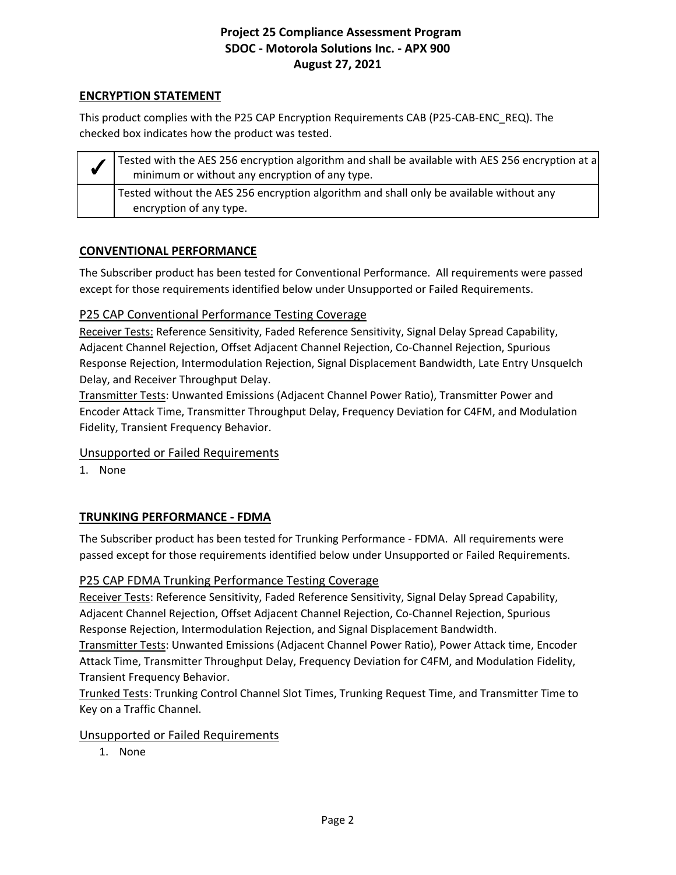### **ENCRYPTION STATEMENT**

This product complies with the P25 CAP Encryption Requirements CAB (P25-CAB-ENC\_REQ). The checked box indicates how the product was tested.

| Tested with the AES 256 encryption algorithm and shall be available with AES 256 encryption at a<br>minimum or without any encryption of any type. |
|----------------------------------------------------------------------------------------------------------------------------------------------------|
| Tested without the AES 256 encryption algorithm and shall only be available without any<br>encryption of any type.                                 |

## **CONVENTIONAL PERFORMANCE**

The Subscriber product has been tested for Conventional Performance. All requirements were passed except for those requirements identified below under Unsupported or Failed Requirements.

## P25 CAP Conventional Performance Testing Coverage

Receiver Tests: Reference Sensitivity, Faded Reference Sensitivity, Signal Delay Spread Capability, Adjacent Channel Rejection, Offset Adjacent Channel Rejection, Co-Channel Rejection, Spurious Response Rejection, Intermodulation Rejection, Signal Displacement Bandwidth, Late Entry Unsquelch Delay, and Receiver Throughput Delay.

Transmitter Tests: Unwanted Emissions (Adjacent Channel Power Ratio), Transmitter Power and Encoder Attack Time, Transmitter Throughput Delay, Frequency Deviation for C4FM, and Modulation Fidelity, Transient Frequency Behavior.

#### Unsupported or Failed Requirements

1. None

# **TRUNKING PERFORMANCE - FDMA**

The Subscriber product has been tested for Trunking Performance - FDMA. All requirements were passed except for those requirements identified below under Unsupported or Failed Requirements.

#### P25 CAP FDMA Trunking Performance Testing Coverage

Receiver Tests: Reference Sensitivity, Faded Reference Sensitivity, Signal Delay Spread Capability, Adjacent Channel Rejection, Offset Adjacent Channel Rejection, Co-Channel Rejection, Spurious Response Rejection, Intermodulation Rejection, and Signal Displacement Bandwidth.

Transmitter Tests: Unwanted Emissions (Adjacent Channel Power Ratio), Power Attack time, Encoder Attack Time, Transmitter Throughput Delay, Frequency Deviation for C4FM, and Modulation Fidelity, Transient Frequency Behavior.

Trunked Tests: Trunking Control Channel Slot Times, Trunking Request Time, and Transmitter Time to Key on a Traffic Channel.

#### Unsupported or Failed Requirements

1. None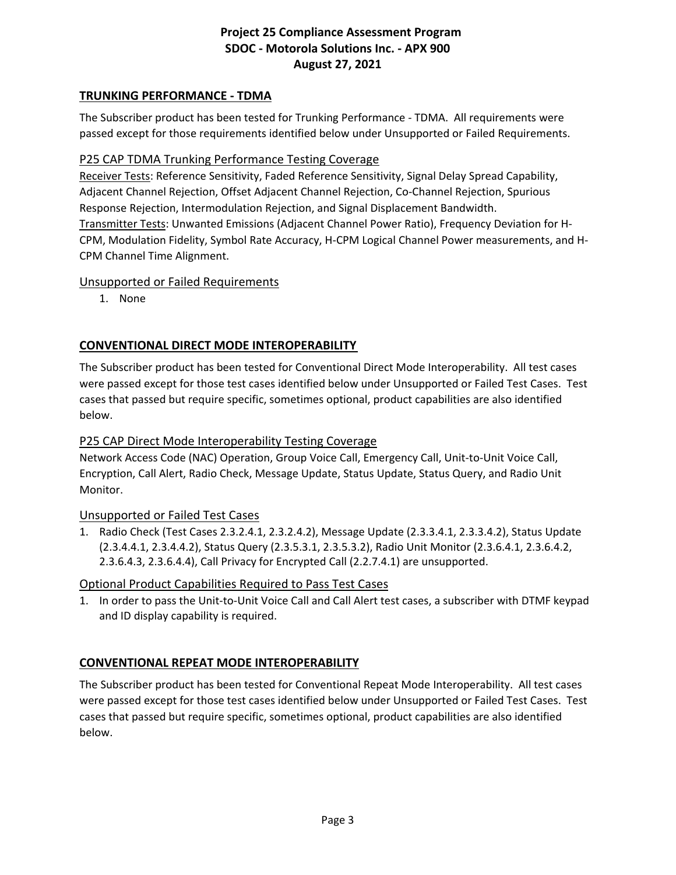## **TRUNKING PERFORMANCE - TDMA**

The Subscriber product has been tested for Trunking Performance - TDMA. All requirements were passed except for those requirements identified below under Unsupported or Failed Requirements.

#### P25 CAP TDMA Trunking Performance Testing Coverage

Receiver Tests: Reference Sensitivity, Faded Reference Sensitivity, Signal Delay Spread Capability, Adjacent Channel Rejection, Offset Adjacent Channel Rejection, Co-Channel Rejection, Spurious Response Rejection, Intermodulation Rejection, and Signal Displacement Bandwidth. Transmitter Tests: Unwanted Emissions (Adjacent Channel Power Ratio), Frequency Deviation for H-CPM, Modulation Fidelity, Symbol Rate Accuracy, H-CPM Logical Channel Power measurements, and H-CPM Channel Time Alignment.

#### Unsupported or Failed Requirements

1. None

## **CONVENTIONAL DIRECT MODE INTEROPERABILITY**

The Subscriber product has been tested for Conventional Direct Mode Interoperability. All test cases were passed except for those test cases identified below under Unsupported or Failed Test Cases. Test cases that passed but require specific, sometimes optional, product capabilities are also identified below.

### P25 CAP Direct Mode Interoperability Testing Coverage

Network Access Code (NAC) Operation, Group Voice Call, Emergency Call, Unit-to-Unit Voice Call, Encryption, Call Alert, Radio Check, Message Update, Status Update, Status Query, and Radio Unit Monitor.

#### Unsupported or Failed Test Cases

1. Radio Check (Test Cases 2.3.2.4.1, 2.3.2.4.2), Message Update (2.3.3.4.1, 2.3.3.4.2), Status Update (2.3.4.4.1, 2.3.4.4.2), Status Query (2.3.5.3.1, 2.3.5.3.2), Radio Unit Monitor (2.3.6.4.1, 2.3.6.4.2, 2.3.6.4.3, 2.3.6.4.4), Call Privacy for Encrypted Call (2.2.7.4.1) are unsupported.

#### Optional Product Capabilities Required to Pass Test Cases

1. In order to pass the Unit-to-Unit Voice Call and Call Alert test cases, a subscriber with DTMF keypad and ID display capability is required.

#### **CONVENTIONAL REPEAT MODE INTEROPERABILITY**

The Subscriber product has been tested for Conventional Repeat Mode Interoperability. All test cases were passed except for those test cases identified below under Unsupported or Failed Test Cases. Test cases that passed but require specific, sometimes optional, product capabilities are also identified below.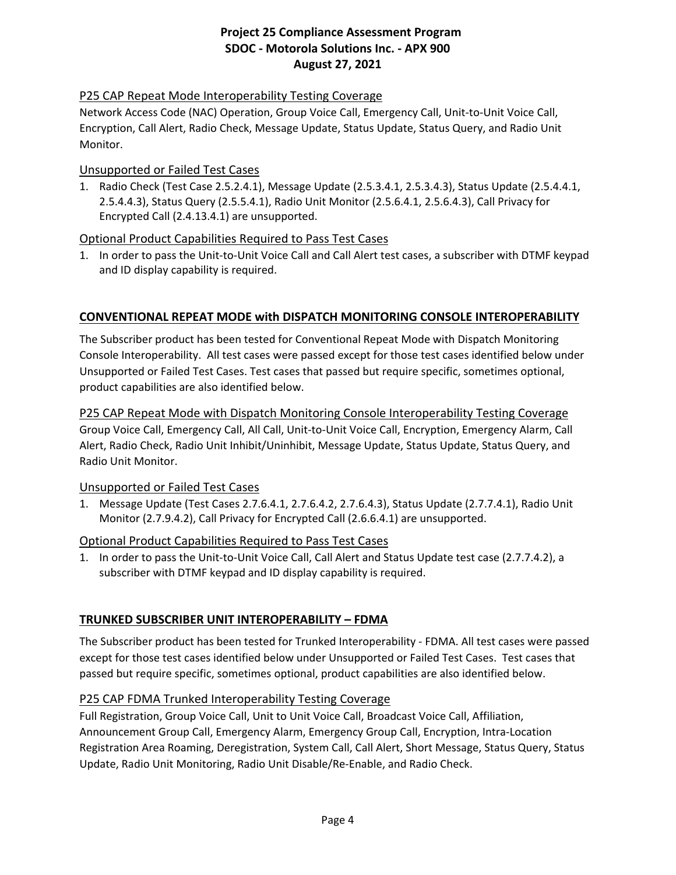## P25 CAP Repeat Mode Interoperability Testing Coverage

Network Access Code (NAC) Operation, Group Voice Call, Emergency Call, Unit-to-Unit Voice Call, Encryption, Call Alert, Radio Check, Message Update, Status Update, Status Query, and Radio Unit Monitor.

#### Unsupported or Failed Test Cases

1. Radio Check (Test Case 2.5.2.4.1), Message Update (2.5.3.4.1, 2.5.3.4.3), Status Update (2.5.4.4.1, 2.5.4.4.3), Status Query (2.5.5.4.1), Radio Unit Monitor (2.5.6.4.1, 2.5.6.4.3), Call Privacy for Encrypted Call (2.4.13.4.1) are unsupported.

#### Optional Product Capabilities Required to Pass Test Cases

1. In order to pass the Unit-to-Unit Voice Call and Call Alert test cases, a subscriber with DTMF keypad and ID display capability is required.

#### **CONVENTIONAL REPEAT MODE with DISPATCH MONITORING CONSOLE INTEROPERABILITY**

The Subscriber product has been tested for Conventional Repeat Mode with Dispatch Monitoring Console Interoperability. All test cases were passed except for those test cases identified below under Unsupported or Failed Test Cases. Test cases that passed but require specific, sometimes optional, product capabilities are also identified below.

## P25 CAP Repeat Mode with Dispatch Monitoring Console Interoperability Testing Coverage Group Voice Call, Emergency Call, All Call, Unit-to-Unit Voice Call, Encryption, Emergency Alarm, Call Alert, Radio Check, Radio Unit Inhibit/Uninhibit, Message Update, Status Update, Status Query, and Radio Unit Monitor.

#### Unsupported or Failed Test Cases

1. Message Update (Test Cases 2.7.6.4.1, 2.7.6.4.2, 2.7.6.4.3), Status Update (2.7.7.4.1), Radio Unit Monitor (2.7.9.4.2), Call Privacy for Encrypted Call (2.6.6.4.1) are unsupported.

#### Optional Product Capabilities Required to Pass Test Cases

1. In order to pass the Unit-to-Unit Voice Call, Call Alert and Status Update test case (2.7.7.4.2), a subscriber with DTMF keypad and ID display capability is required.

#### **TRUNKED SUBSCRIBER UNIT INTEROPERABILITY – FDMA**

The Subscriber product has been tested for Trunked Interoperability - FDMA. All test cases were passed except for those test cases identified below under Unsupported or Failed Test Cases. Test cases that passed but require specific, sometimes optional, product capabilities are also identified below.

#### P25 CAP FDMA Trunked Interoperability Testing Coverage

Full Registration, Group Voice Call, Unit to Unit Voice Call, Broadcast Voice Call, Affiliation, Announcement Group Call, Emergency Alarm, Emergency Group Call, Encryption, Intra-Location Registration Area Roaming, Deregistration, System Call, Call Alert, Short Message, Status Query, Status Update, Radio Unit Monitoring, Radio Unit Disable/Re-Enable, and Radio Check.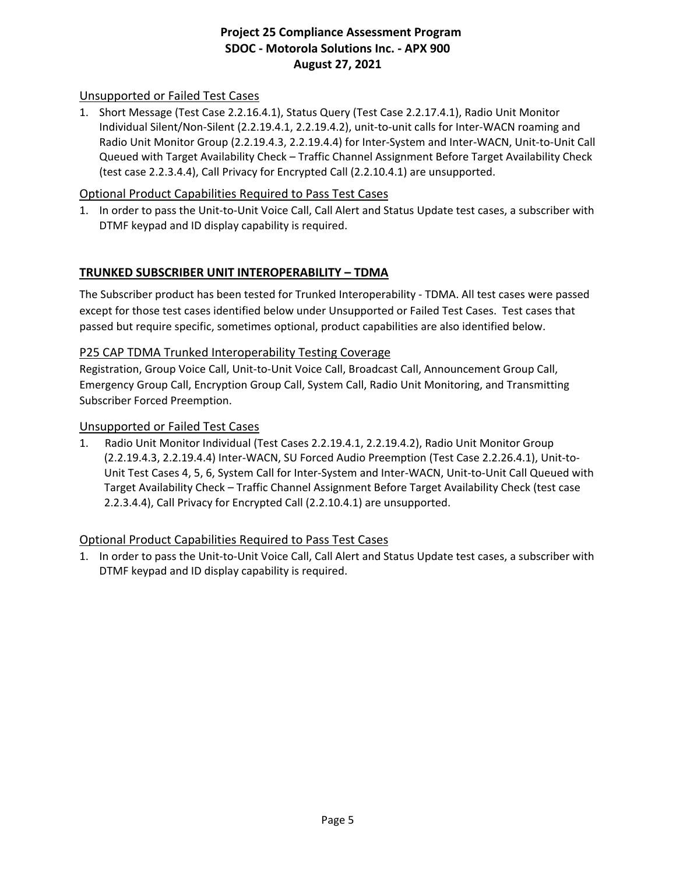## Unsupported or Failed Test Cases

1. Short Message (Test Case 2.2.16.4.1), Status Query (Test Case 2.2.17.4.1), Radio Unit Monitor Individual Silent/Non-Silent (2.2.19.4.1, 2.2.19.4.2), unit-to-unit calls for Inter-WACN roaming and Radio Unit Monitor Group (2.2.19.4.3, 2.2.19.4.4) for Inter-System and Inter-WACN, Unit-to-Unit Call Queued with Target Availability Check – Traffic Channel Assignment Before Target Availability Check (test case 2.2.3.4.4), Call Privacy for Encrypted Call (2.2.10.4.1) are unsupported.

#### Optional Product Capabilities Required to Pass Test Cases

1. In order to pass the Unit-to-Unit Voice Call, Call Alert and Status Update test cases, a subscriber with DTMF keypad and ID display capability is required.

#### **TRUNKED SUBSCRIBER UNIT INTEROPERABILITY – TDMA**

The Subscriber product has been tested for Trunked Interoperability - TDMA. All test cases were passed except for those test cases identified below under Unsupported or Failed Test Cases. Test cases that passed but require specific, sometimes optional, product capabilities are also identified below.

#### P25 CAP TDMA Trunked Interoperability Testing Coverage

Registration, Group Voice Call, Unit-to-Unit Voice Call, Broadcast Call, Announcement Group Call, Emergency Group Call, Encryption Group Call, System Call, Radio Unit Monitoring, and Transmitting Subscriber Forced Preemption.

#### Unsupported or Failed Test Cases

1. Radio Unit Monitor Individual (Test Cases 2.2.19.4.1, 2.2.19.4.2), Radio Unit Monitor Group (2.2.19.4.3, 2.2.19.4.4) Inter-WACN, SU Forced Audio Preemption (Test Case 2.2.26.4.1), Unit-to-Unit Test Cases 4, 5, 6, System Call for Inter-System and Inter-WACN, Unit-to-Unit Call Queued with Target Availability Check – Traffic Channel Assignment Before Target Availability Check (test case 2.2.3.4.4), Call Privacy for Encrypted Call (2.2.10.4.1) are unsupported.

#### Optional Product Capabilities Required to Pass Test Cases

1. In order to pass the Unit-to-Unit Voice Call, Call Alert and Status Update test cases, a subscriber with DTMF keypad and ID display capability is required.